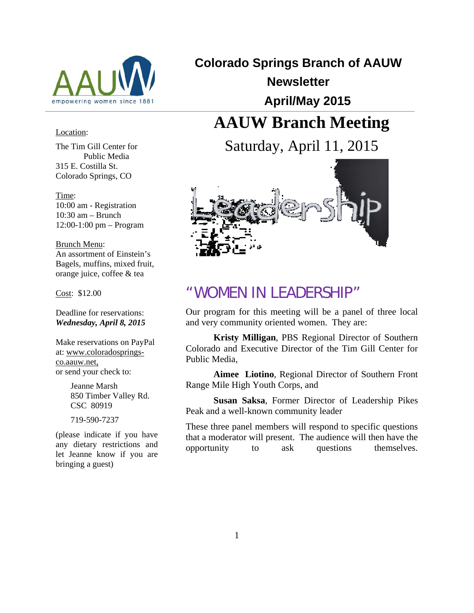

## Location:

The Tim Gill Center for Public Media 315 E. Costilla St. Colorado Springs, CO

Time: 10:00 am - Registration  $10:30$  am – Brunch 12:00-1:00 pm – Program

Brunch Menu: An assortment of Einstein's Bagels, muffins, mixed fruit, orange juice, coffee & tea

Cost: \$12.00

Deadline for reservations: *Wednesday, April 8, 2015* 

Make reservations on PayPal at: www.coloradospringsco.aauw.net, or send your check to:

> Jeanne Marsh 850 Timber Valley Rd. CSC 80919

719-590-7237

(please indicate if you have any dietary restrictions and let Jeanne know if you are bringing a guest)

**Colorado Springs Branch of AAUW Newsletter April/May 2015**

# **AAUW Branch Meeting**

Saturday, April 11, 2015



## "WOMEN IN LEADERSHIP"

Our program for this meeting will be a panel of three local and very community oriented women. They are:

**Kristy Milligan**, PBS Regional Director of Southern Colorado and Executive Director of the Tim Gill Center for Public Media,

**Aimee Liotino**, Regional Director of Southern Front Range Mile High Youth Corps, and

**Susan Saksa**, Former Director of Leadership Pikes Peak and a well-known community leader

These three panel members will respond to specific questions that a moderator will present. The audience will then have the opportunity to ask questions themselves.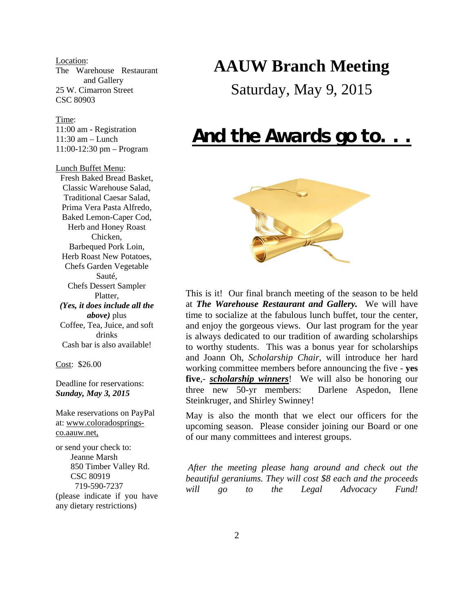Location: The Warehouse Restaurant and Gallery 25 W. Cimarron Street CSC 80903

#### Time:

11:00 am - Registration 11:30 am – Lunch 11:00-12:30 pm – Program

Lunch Buffet Menu: Fresh Baked Bread Basket, Classic Warehouse Salad, Traditional Caesar Salad, Prima Vera Pasta Alfredo, Baked Lemon-Caper Cod, Herb and Honey Roast Chicken, Barbequed Pork Loin, Herb Roast New Potatoes, Chefs Garden Vegetable Sauté, Chefs Dessert Sampler Platter, *(Yes, it does include all the above)* plus Coffee, Tea, Juice, and soft drinks Cash bar is also available!

Cost: \$26.00

Deadline for reservations: *Sunday, May 3, 2015* 

Make reservations on PayPal at: www.coloradospringsco.aauw.net,

or send your check to: Jeanne Marsh 850 Timber Valley Rd. CSC 80919 719-590-7237 (please indicate if you have any dietary restrictions)

# **AAUW Branch Meeting**

Saturday, May 9, 2015

# *And the Awards go to. . .*



This is it! Our final branch meeting of the season to be held at *The Warehouse Restaurant and Gallery.* We will have time to socialize at the fabulous lunch buffet, tour the center, and enjoy the gorgeous views. Our last program for the year is always dedicated to our tradition of awarding scholarships to worthy students. This was a bonus year for scholarships and Joann Oh, *Scholarship Chair*, will introduce her hard working committee members before announcing the five - **yes**  five,- *scholarship winners*! We will also be honoring our three new 50-yr members: Darlene Aspedon, Ilene Steinkruger, and Shirley Swinney!

May is also the month that we elect our officers for the upcoming season. Please consider joining our Board or one of our many committees and interest groups.

*After the meeting please hang around and check out the beautiful geraniums. They will cost \$8 each and the proceeds will go to the Legal Advocacy Fund!*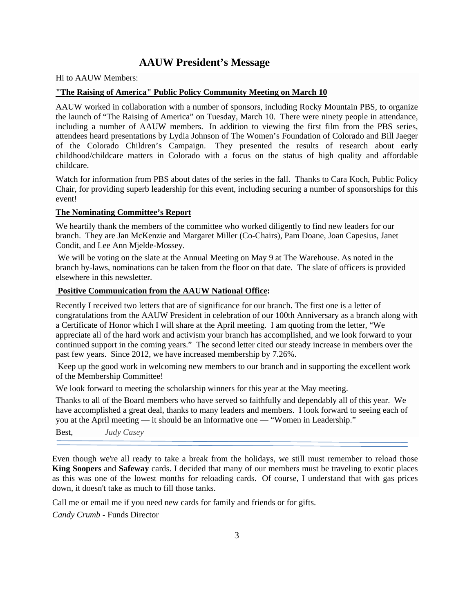## **AAUW President's Message**

Hi to AAUW Members:

### **"The Raising of America" Public Policy Community Meeting on March 10**

AAUW worked in collaboration with a number of sponsors, including Rocky Mountain PBS, to organize the launch of "The Raising of America" on Tuesday, March 10. There were ninety people in attendance, including a number of AAUW members. In addition to viewing the first film from the PBS series, attendees heard presentations by Lydia Johnson of The Women's Foundation of Colorado and Bill Jaeger of the Colorado Children's Campaign. They presented the results of research about early childhood/childcare matters in Colorado with a focus on the status of high quality and affordable childcare.

Watch for information from PBS about dates of the series in the fall. Thanks to Cara Koch, Public Policy Chair, for providing superb leadership for this event, including securing a number of sponsorships for this event!

## **The Nominating Committee's Report**

We heartily thank the members of the committee who worked diligently to find new leaders for our branch. They are Jan McKenzie and Margaret Miller (Co-Chairs), Pam Doane, Joan Capesius, Janet Condit, and Lee Ann Mjelde-Mossey.

 We will be voting on the slate at the Annual Meeting on May 9 at The Warehouse. As noted in the branch by-laws, nominations can be taken from the floor on that date. The slate of officers is provided elsewhere in this newsletter.

## **Positive Communication from the AAUW National Office:**

Recently I received two letters that are of significance for our branch. The first one is a letter of congratulations from the AAUW President in celebration of our 100th Anniversary as a branch along with a Certificate of Honor which I will share at the April meeting. I am quoting from the letter, "We appreciate all of the hard work and activism your branch has accomplished, and we look forward to your continued support in the coming years." The second letter cited our steady increase in members over the past few years. Since 2012, we have increased membership by 7.26%.

 Keep up the good work in welcoming new members to our branch and in supporting the excellent work of the Membership Committee!

We look forward to meeting the scholarship winners for this year at the May meeting.

Thanks to all of the Board members who have served so faithfully and dependably all of this year. We have accomplished a great deal, thanks to many leaders and members. I look forward to seeing each of you at the April meeting — it should be an informative one — "Women in Leadership."

Best, *Judy Casey*

Even though we're all ready to take a break from the holidays, we still must remember to reload those **King Soopers** and **Safeway** cards. I decided that many of our members must be traveling to exotic places as this was one of the lowest months for reloading cards. Of course, I understand that with gas prices down, it doesn't take as much to fill those tanks.

Call me or email me if you need new cards for family and friends or for gifts.

*Candy Crumb* - Funds Director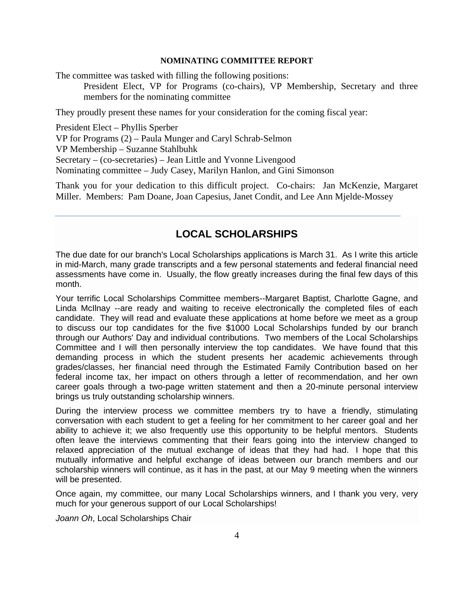## **NOMINATING COMMITTEE REPORT**

The committee was tasked with filling the following positions:

President Elect, VP for Programs (co-chairs), VP Membership, Secretary and three members for the nominating committee

They proudly present these names for your consideration for the coming fiscal year:

President Elect – Phyllis Sperber VP for Programs (2) – Paula Munger and Caryl Schrab-Selmon VP Membership – Suzanne Stahlbuhk Secretary – (co-secretaries) – Jean Little and Yvonne Livengood Nominating committee – Judy Casey, Marilyn Hanlon, and Gini Simonson

Thank you for your dedication to this difficult project. Co-chairs: Jan McKenzie, Margaret Miller. Members: Pam Doane, Joan Capesius, Janet Condit, and Lee Ann Mjelde-Mossey

## **LOCAL SCHOLARSHIPS**

The due date for our branch's Local Scholarships applications is March 31. As I write this article in mid-March, many grade transcripts and a few personal statements and federal financial need assessments have come in. Usually, the flow greatly increases during the final few days of this month.

Your terrific Local Scholarships Committee members--Margaret Baptist, Charlotte Gagne, and Linda McIlnay --are ready and waiting to receive electronically the completed files of each candidate. They will read and evaluate these applications at home before we meet as a group to discuss our top candidates for the five \$1000 Local Scholarships funded by our branch through our Authors' Day and individual contributions. Two members of the Local Scholarships Committee and I will then personally interview the top candidates. We have found that this demanding process in which the student presents her academic achievements through grades/classes, her financial need through the Estimated Family Contribution based on her federal income tax, her impact on others through a letter of recommendation, and her own career goals through a two-page written statement and then a 20-minute personal interview brings us truly outstanding scholarship winners.

During the interview process we committee members try to have a friendly, stimulating conversation with each student to get a feeling for her commitment to her career goal and her ability to achieve it; we also frequently use this opportunity to be helpful mentors. Students often leave the interviews commenting that their fears going into the interview changed to relaxed appreciation of the mutual exchange of ideas that they had had. I hope that this mutually informative and helpful exchange of ideas between our branch members and our scholarship winners will continue, as it has in the past, at our May 9 meeting when the winners will be presented.

Once again, my committee, our many Local Scholarships winners, and I thank you very, very much for your generous support of our Local Scholarships!

*Joann Oh*, Local Scholarships Chair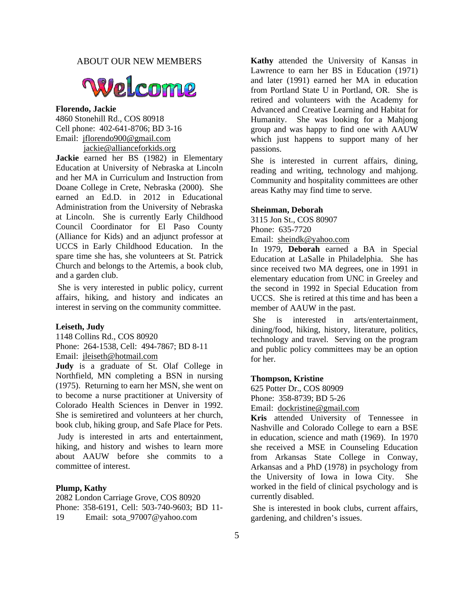## ABOUT OUR NEW MEMBERS



#### **Florendo, Jackie**

4860 Stonehill Rd., COS 80918 Cell phone: 402-641-8706; BD 3-16 Email: jflorendo900@gmail.com

jackie@allianceforkids.org

**Jackie** earned her BS (1982) in Elementary Education at University of Nebraska at Lincoln and her MA in Curriculum and Instruction from Doane College in Crete, Nebraska (2000). She earned an Ed.D. in 2012 in Educational Administration from the University of Nebraska at Lincoln. She is currently Early Childhood Council Coordinator for El Paso County (Alliance for Kids) and an adjunct professor at UCCS in Early Childhood Education. In the spare time she has, she volunteers at St. Patrick Church and belongs to the Artemis, a book club, and a garden club.

 She is very interested in public policy, current affairs, hiking, and history and indicates an interest in serving on the community committee.

#### **Leiseth, Judy**

1148 Collins Rd., COS 80920 Phone: 264-1538, Cell: 494-7867; BD 8-11 Email: jleiseth@hotmail.com

**Judy** is a graduate of St. Olaf College in Northfield, MN completing a BSN in nursing (1975). Returning to earn her MSN, she went on to become a nurse practitioner at University of Colorado Health Sciences in Denver in 1992. She is semiretired and volunteers at her church, book club, hiking group, and Safe Place for Pets.

 Judy is interested in arts and entertainment, hiking, and history and wishes to learn more about AAUW before she commits to a committee of interest.

#### **Plump, Kathy**

2082 London Carriage Grove, COS 80920 Phone: 358-6191, Cell: 503-740-9603; BD 11- 19 Email: sota\_97007@yahoo.com

**Kathy** attended the University of Kansas in Lawrence to earn her BS in Education (1971) and later (1991) earned her MA in education from Portland State U in Portland, OR. She is retired and volunteers with the Academy for Advanced and Creative Learning and Habitat for Humanity. She was looking for a Mahjong group and was happy to find one with AAUW which just happens to support many of her passions.

She is interested in current affairs, dining, reading and writing, technology and mahjong. Community and hospitality committees are other areas Kathy may find time to serve.

#### **Sheinman, Deborah**

3115 Jon St., COS 80907 Phone: 635-7720 Email: sheindk@yahoo.com

In 1979, **Deborah** earned a BA in Special Education at LaSalle in Philadelphia. She has since received two MA degrees, one in 1991 in elementary education from UNC in Greeley and the second in 1992 in Special Education from UCCS. She is retired at this time and has been a member of AAUW in the past.

 She is interested in arts/entertainment, dining/food, hiking, history, literature, politics, technology and travel. Serving on the program and public policy committees may be an option for her.

#### **Thompson, Kristine**

625 Potter Dr., COS 80909 Phone: 358-8739; BD 5-26

Email: dockristine@gmail.com

**Kris** attended University of Tennessee in Nashville and Colorado College to earn a BSE in education, science and math (1969). In 1970 she received a MSE in Counseling Education from Arkansas State College in Conway, Arkansas and a PhD (1978) in psychology from the University of Iowa in Iowa City. She worked in the field of clinical psychology and is currently disabled.

 She is interested in book clubs, current affairs, gardening, and children's issues.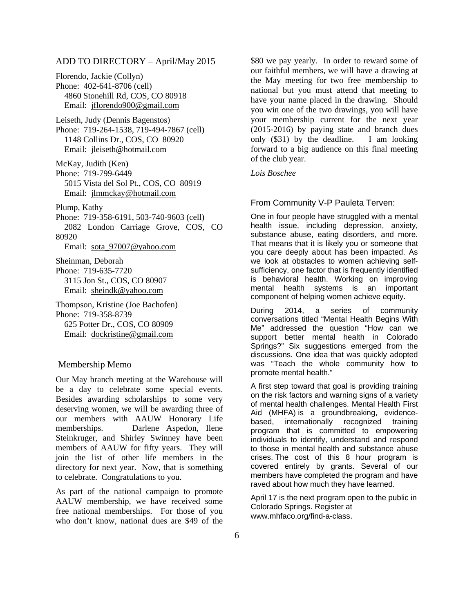## ADD TO DIRECTORY – April/May 2015

Florendo, Jackie (Collyn) Phone: 402-641-8706 (cell) 4860 Stonehill Rd, COS, CO 80918 Email: jflorendo900@gmail.com

Leiseth, Judy (Dennis Bagenstos) Phone: 719-264-1538, 719-494-7867 (cell) 1148 Collins Dr., COS, CO 80920 Email: jleiseth@hotmail.com

McKay, Judith (Ken) Phone: 719-799-6449 5015 Vista del Sol Pt., COS, CO 80919 Email: jlmmckay@hotmail.com

Plump, Kathy

Phone: 719-358-6191, 503-740-9603 (cell) 2082 London Carriage Grove, COS, CO 80920

Email: sota\_97007@yahoo.com

Sheinman, Deborah Phone: 719-635-7720 3115 Jon St., COS, CO 80907 Email: sheindk@yahoo.com

Thompson, Kristine (Joe Bachofen) Phone: 719-358-8739 625 Potter Dr., COS, CO 80909 Email: dockristine@gmail.com

#### Membership Memo

Our May branch meeting at the Warehouse will be a day to celebrate some special events. Besides awarding scholarships to some very deserving women, we will be awarding three of our members with AAUW Honorary Life memberships. Darlene Aspedon, Ilene Steinkruger, and Shirley Swinney have been members of AAUW for fifty years. They will join the list of other life members in the directory for next year. Now, that is something to celebrate. Congratulations to you.

As part of the national campaign to promote AAUW membership, we have received some free national memberships. For those of you who don't know, national dues are \$49 of the

\$80 we pay yearly. In order to reward some of our faithful members, we will have a drawing at the May meeting for two free membership to national but you must attend that meeting to have your name placed in the drawing. Should you win one of the two drawings, you will have your membership current for the next year (2015-2016) by paying state and branch dues only (\$31) by the deadline. I am looking forward to a big audience on this final meeting of the club year.

*Lois Boschee* 

#### From Community V-P Pauleta Terven:

One in four people have struggled with a mental health issue, including depression, anxiety, substance abuse, eating disorders, and more. That means that it is likely you or someone that you care deeply about has been impacted. As we look at obstacles to women achieving selfsufficiency, one factor that is frequently identified is behavioral health. Working on improving mental health systems is an important component of helping women achieve equity.

During 2014, a series of community conversations titled "Mental Health Begins With Me" addressed the question "How can we support better mental health in Colorado Springs?" Six suggestions emerged from the discussions. One idea that was quickly adopted was "Teach the whole community how to promote mental health."

A first step toward that goal is providing training on the risk factors and warning signs of a variety of mental health challenges. Mental Health First Aid (MHFA) is a groundbreaking, evidencebased, internationally recognized training program that is committed to empowering individuals to identify, understand and respond to those in mental health and substance abuse crises. The cost of this 8 hour program is covered entirely by grants. Several of our members have completed the program and have raved about how much they have learned.

April 17 is the next program open to the public in Colorado Springs. Register at www.mhfaco.org/find-a-class.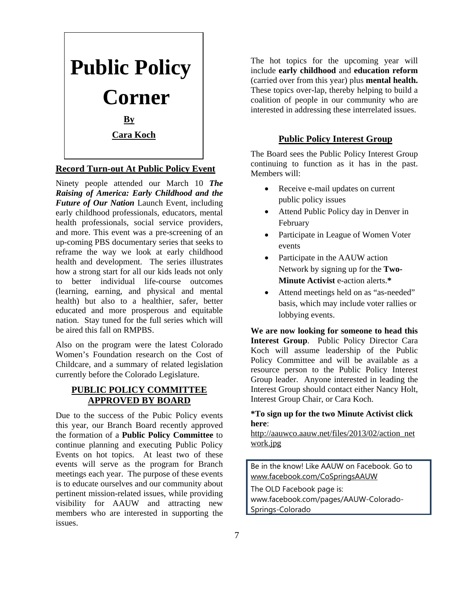

## **Record Turn-out At Public Policy Event**

Ninety people attended our March 10 *The Raising of America: Early Childhood and the Future of Our Nation* Launch Event, including early childhood professionals, educators, mental health professionals, social service providers, and more. This event was a pre-screening of an up-coming PBS documentary series that seeks to reframe the way we look at early childhood health and development. The series illustrates how a strong start for all our kids leads not only to better individual life-course outcomes (learning, earning, and physical and mental health) but also to a healthier, safer, better educated and more prosperous and equitable nation. Stay tuned for the full series which will be aired this fall on RMPBS.

Also on the program were the latest Colorado Women's Foundation research on the Cost of Childcare, and a summary of related legislation currently before the Colorado Legislature.

## **PUBLIC POLICY COMMITTEE APPROVED BY BOARD**

Due to the success of the Pubic Policy events this year, our Branch Board recently approved the formation of a **Public Policy Committee** to continue planning and executing Public Policy Events on hot topics. At least two of these events will serve as the program for Branch meetings each year. The purpose of these events is to educate ourselves and our community about pertinent mission-related issues, while providing visibility for AAUW and attracting new members who are interested in supporting the issues.

The hot topics for the upcoming year will include **early childhood** and **education reform**  (carried over from this year) plus **mental health.**  These topics over-lap, thereby helping to build a coalition of people in our community who are interested in addressing these interrelated issues.

## **Public Policy Interest Group**

The Board sees the Public Policy Interest Group continuing to function as it has in the past. Members will:

- Receive e-mail updates on current public policy issues
- Attend Public Policy day in Denver in February
- Participate in League of Women Voter events
- Participate in the AAUW action Network by signing up for the **Two-Minute Activist** e-action alerts.**\***
- Attend meetings held on as "as-needed" basis, which may include voter rallies or lobbying events.

**We are now looking for someone to head this Interest Group**. Public Policy Director Cara Koch will assume leadership of the Public Policy Committee and will be available as a resource person to the Public Policy Interest Group leader. Anyone interested in leading the Interest Group should contact either Nancy Holt, Interest Group Chair, or Cara Koch.

## **\*To sign up for the two Minute Activist click here**:

http://aauwco.aauw.net/files/2013/02/action\_net work.jpg

Be in the know! Like AAUW on Facebook. Go to www.facebook.com/CoSpringsAAUW

The OLD Facebook page is:

www.facebook.com/pages/AAUW-Colorado-Springs-Colorado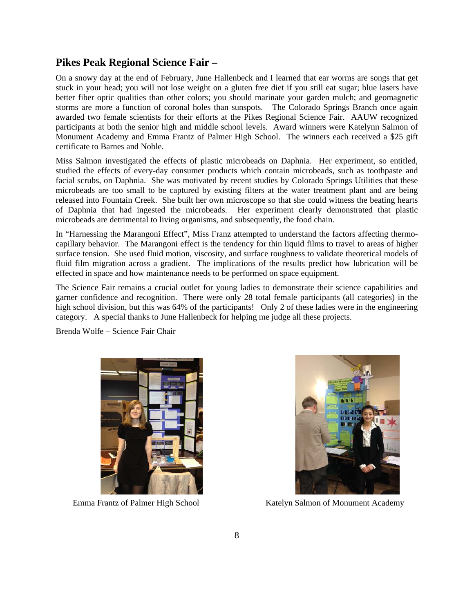## **Pikes Peak Regional Science Fair –**

On a snowy day at the end of February, June Hallenbeck and I learned that ear worms are songs that get stuck in your head; you will not lose weight on a gluten free diet if you still eat sugar; blue lasers have better fiber optic qualities than other colors; you should marinate your garden mulch; and geomagnetic storms are more a function of coronal holes than sunspots. The Colorado Springs Branch once again awarded two female scientists for their efforts at the Pikes Regional Science Fair. AAUW recognized participants at both the senior high and middle school levels. Award winners were Katelynn Salmon of Monument Academy and Emma Frantz of Palmer High School. The winners each received a \$25 gift certificate to Barnes and Noble.

Miss Salmon investigated the effects of plastic microbeads on Daphnia. Her experiment, so entitled, studied the effects of every-day consumer products which contain microbeads, such as toothpaste and facial scrubs, on Daphnia. She was motivated by recent studies by Colorado Springs Utilities that these microbeads are too small to be captured by existing filters at the water treatment plant and are being released into Fountain Creek. She built her own microscope so that she could witness the beating hearts of Daphnia that had ingested the microbeads. Her experiment clearly demonstrated that plastic microbeads are detrimental to living organisms, and subsequently, the food chain.

In "Harnessing the Marangoni Effect", Miss Franz attempted to understand the factors affecting thermocapillary behavior. The Marangoni effect is the tendency for thin liquid films to travel to areas of higher surface tension. She used fluid motion, viscosity, and surface roughness to validate theoretical models of fluid film migration across a gradient. The implications of the results predict how lubrication will be effected in space and how maintenance needs to be performed on space equipment.

The Science Fair remains a crucial outlet for young ladies to demonstrate their science capabilities and garner confidence and recognition. There were only 28 total female participants (all categories) in the high school division, but this was 64% of the participants! Only 2 of these ladies were in the engineering category. A special thanks to June Hallenbeck for helping me judge all these projects.

Brenda Wolfe – Science Fair Chair





Emma Frantz of Palmer High School Katelyn Salmon of Monument Academy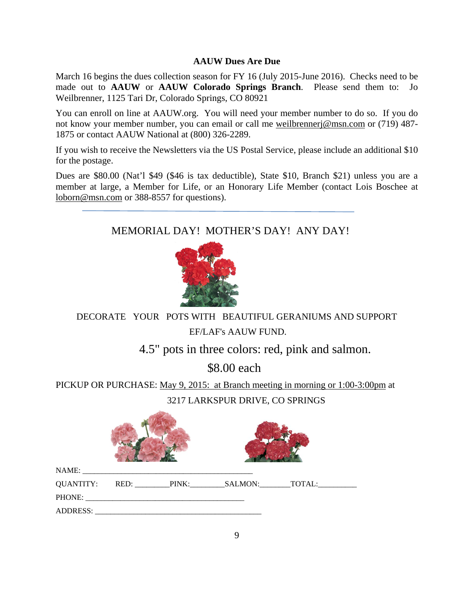## **AAUW Dues Are Due**

March 16 begins the dues collection season for FY 16 (July 2015-June 2016). Checks need to be made out to **AAUW** or **AAUW Colorado Springs Branch**. Please send them to: Jo Weilbrenner, 1125 Tari Dr, Colorado Springs, CO 80921

You can enroll on line at AAUW.org. You will need your member number to do so. If you do not know your member number, you can email or call me weilbrennerj@msn.com or (719) 487- 1875 or contact AAUW National at (800) 326-2289.

If you wish to receive the Newsletters via the US Postal Service, please include an additional \$10 for the postage.

Dues are \$80.00 (Nat'l \$49 (\$46 is tax deductible), State \$10, Branch \$21) unless you are a member at large, a Member for Life, or an Honorary Life Member (contact Lois Boschee at loborn@msn.com or 388-8557 for questions).

## MEMORIAL DAY! MOTHER'S DAY! ANY DAY!



DECORATE YOUR POTS WITH BEAUTIFUL GERANIUMS AND SUPPORT EF/LAF's AAUW FUND.

4.5" pots in three colors: red, pink and salmon.

\$8.00 each

PICKUP OR PURCHASE: May 9, 2015: at Branch meeting in morning or 1:00-3:00pm at 3217 LARKSPUR DRIVE, CO SPRINGS

| ADDRESS: |  |  |  |  |  |
|----------|--|--|--|--|--|

allows: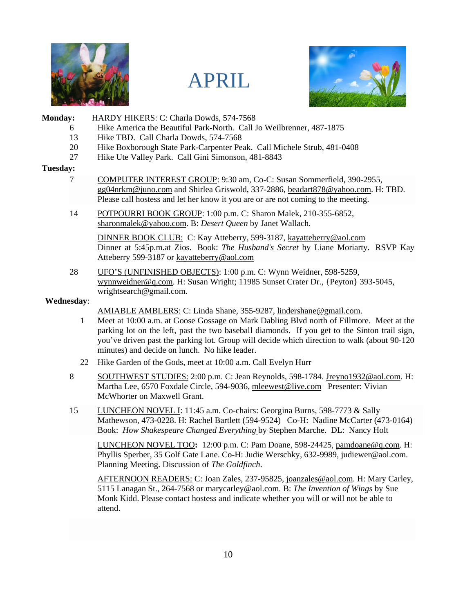





## Monday: **HARDY HIKERS: C: Charla Dowds, 574-7568**

- 6 Hike America the Beautiful Park-North. Call Jo Weilbrenner, 487-1875
- 13 Hike TBD. Call Charla Dowds, 574-7568
- 20 Hike Boxborough State Park-Carpenter Peak. Call Michele Strub, 481-0408
- 27 Hike Ute Valley Park. Call Gini Simonson, 481-8843

## **Tuesday:**

- 7 COMPUTER INTEREST GROUP: 9:30 am, Co-C: Susan Sommerfield, 390-2955, gg04nrkm@juno.com and Shirlea Griswold, 337-2886, beadart878@yahoo.com. H: TBD. Please call hostess and let her know it you are or are not coming to the meeting.
- 14 POTPOURRI BOOK GROUP: 1:00 p.m. C: Sharon Malek, 210-355-6852, sharonmalek@yahoo.com. B: *Desert Queen* by Janet Wallach.

 DINNER BOOK CLUB: C: Kay Atteberry, 599-3187, kayatteberry@aol.com Dinner at 5:45p.m.at Zios. Book: *The Husband's Secret* by Liane Moriarty. RSVP Kay Atteberry 599-3187 or kayatteberry@aol.com

28 UFO'S (UNFINISHED OBJECTS): 1:00 p.m. C: Wynn Weidner, 598-5259, wynnweidner@q.com. H: Susan Wright; 11985 Sunset Crater Dr., {Peyton} 393-5045, wrightsearch@gmail.com.

## **Wednesday**:

AMIABLE AMBLERS: C: Linda Shane, 355-9287, lindershane@gmail.com.

- 1 Meet at 10:00 a.m. at Goose Gossage on Mark Dabling Blvd north of Fillmore. Meet at the parking lot on the left, past the two baseball diamonds. If you get to the Sinton trail sign, you've driven past the parking lot. Group will decide which direction to walk (about 90-120 minutes) and decide on lunch. No hike leader.
- 22 Hike Garden of the Gods, meet at 10:00 a.m. Call Evelyn Hurr
- 8 SOUTHWEST STUDIES: 2:00 p.m. C: Jean Reynolds, 598-1784. Jreyno1932@aol.com. H: Martha Lee, 6570 Foxdale Circle, 594-9036, mleewest@live.com Presenter: Vivian McWhorter on Maxwell Grant.
- 15 LUNCHEON NOVEL I: 11:45 a.m. Co-chairs: Georgina Burns, 598-7773 & Sally Mathewson, 473-0228. H: Rachel Bartlett (594-9524) Co-H: Nadine McCarter (473-0164) Book: *How Shakespeare Changed Everything* by Stephen Marche. DL: Nancy Holt

LUNCHEON NOVEL TOO**:** 12:00 p.m. C: Pam Doane, 598-24425, pamdoane@q.com. H: Phyllis Sperber, 35 Golf Gate Lane. Co-H: Judie Werschky, 632-9989, judiewer@aol.com. Planning Meeting. Discussion of *The Goldfinch*.

AFTERNOON READERS: C: Joan Zales, 237-95825, joanzales@aol.com. H: Mary Carley, 5115 Lanagan St., 264-7568 or marycarley@aol.com. B: *The Invention of Wings* by Sue Monk Kidd. Please contact hostess and indicate whether you will or will not be able to attend.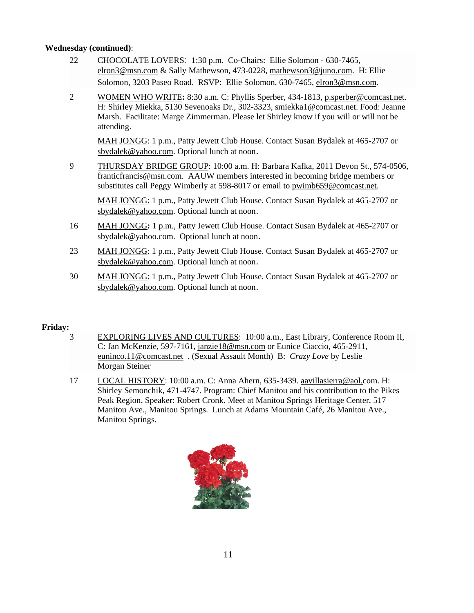## **Wednesday (continued)**:

- 22 CHOCOLATE LOVERS:1:30 p.m. Co-Chairs: Ellie Solomon 630-7465, elron3@msn.com & Sally Mathewson, 473-0228, mathewson3@juno.com. H: Ellie Solomon, 3203 Paseo Road. RSVP: Ellie Solomon, 630-7465, elron3@msn.com.
- 2 WOMEN WHO WRITE**:** 8:30 a.m. C: Phyllis Sperber, 434-1813, p.sperber@comcast.net. H: Shirley Miekka, 5130 Sevenoaks Dr., 302-3323, smiekka1@comcast.net. Food: Jeanne Marsh. Facilitate: Marge Zimmerman. Please let Shirley know if you will or will not be attending.

MAH JONGG: 1 p.m., Patty Jewett Club House. Contact Susan Bydalek at 465-2707 or sbydalek@yahoo.com. Optional lunch at noon.

9 THURSDAY BRIDGE GROUP: 10:00 a.m. H: Barbara Kafka, 2011 Devon St., 574-0506, franticfrancis@msn.com. AAUW members interested in becoming bridge members or substitutes call Peggy Wimberly at 598-8017 or email to pwimb659@comcast.net.

MAH JONGG: 1 p.m., Patty Jewett Club House. Contact Susan Bydalek at 465-2707 or sbydalek@yahoo.com. Optional lunch at noon.

- 16 MAH JONGG**:** 1 p.m., Patty Jewett Club House. Contact Susan Bydalek at 465-2707 or sbydalek@yahoo.com. Optional lunch at noon.
- 23 MAH JONGG: 1 p.m., Patty Jewett Club House. Contact Susan Bydalek at 465-2707 or sbydalek@yahoo.com. Optional lunch at noon.
- 30 MAH JONGG: 1 p.m., Patty Jewett Club House. Contact Susan Bydalek at 465-2707 or sbydalek@yahoo.com. Optional lunch at noon.

## **Friday:**

- 3 EXPLORING LIVES AND CULTURES: 10:00 a.m., East Library, Conference Room II, C: Jan McKenzie, 597-7161, janzie18@msn.com or Eunice Ciaccio, 465-2911, euninco.11@comcast.net . (Sexual Assault Month) B: *Crazy Love* by Leslie Morgan Steiner
- 17 LOCAL HISTORY: 10:00 a.m. C: Anna Ahern, 635-3439. aavillasierra@aol.com. H: Shirley Semonchik, 471-4747. Program: Chief Manitou and his contribution to the Pikes Peak Region. Speaker: Robert Cronk. Meet at Manitou Springs Heritage Center, 517 Manitou Ave., Manitou Springs. Lunch at Adams Mountain Café, 26 Manitou Ave., Manitou Springs.

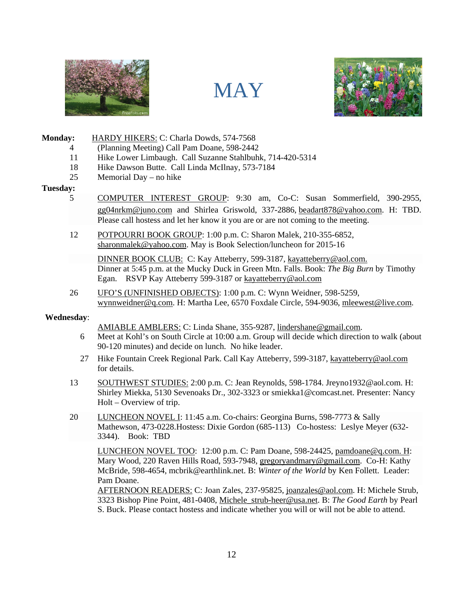





### **Monday:** HARDY HIKERS: C: Charla Dowds, 574-7568

- 4 (Planning Meeting) Call Pam Doane, 598-2442
- 11 Hike Lower Limbaugh. Call Suzanne Stahlbuhk, 714-420-5314
- 18 Hike Dawson Butte. Call Linda McIlnay, 573-7184
- 25 Memorial Day no hike

#### **Tuesday:**

- 5 COMPUTER INTEREST GROUP: 9:30 am, Co-C: Susan Sommerfield, 390-2955, gg04nrkm@juno.com and Shirlea Griswold, 337-2886, beadart878@yahoo.com. H: TBD. Please call hostess and let her know it you are or are not coming to the meeting.
- 12 POTPOURRI BOOK GROUP: 1:00 p.m. C: Sharon Malek, 210-355-6852, sharonmalek@yahoo.com. May is Book Selection/luncheon for 2015-16

 DINNER BOOK CLUB: C: Kay Atteberry, 599-3187, kayatteberry@aol.com. Dinner at 5:45 p.m. at the Mucky Duck in Green Mtn. Falls. Book: *The Big Burn* by Timothy Egan. RSVP Kay Atteberry 599-3187 or kayatteberry@aol.com

26 UFO'S (UNFINISHED OBJECTS): 1:00 p.m. C: Wynn Weidner, 598-5259, wynnweidner@q.com. H: Martha Lee, 6570 Foxdale Circle, 594-9036, mleewest@live.com.

#### **Wednesday**:

AMIABLE AMBLERS: C: Linda Shane, 355-9287, lindershane@gmail.com.

- 6 Meet at Kohl's on South Circle at 10:00 a.m. Group will decide which direction to walk (about 90-120 minutes) and decide on lunch. No hike leader.
- 27 Hike Fountain Creek Regional Park. Call Kay Atteberry, 599-3187, kayatteberry@aol.com for details.
- 13 SOUTHWEST STUDIES: 2:00 p.m. C: Jean Reynolds, 598-1784. Jreyno1932@aol.com. H: Shirley Miekka, 5130 Sevenoaks Dr., 302-3323 or smiekka1@comcast.net. Presenter: Nancy Holt – Overview of trip.
- 20 LUNCHEON NOVEL I: 11:45 a.m. Co-chairs: Georgina Burns, 598-7773 & Sally Mathewson, 473-0228.Hostess: Dixie Gordon (685-113) Co-hostess: Leslye Meyer (632- 3344). Book: TBD

LUNCHEON NOVEL TOO: 12:00 p.m. C: Pam Doane, 598-24425, pamdoane@q.com. H: Mary Wood, 220 Raven Hills Road, 593-7948, gregoryandmary@gmail.com. Co-H: Kathy McBride, 598-4654, mcbrik@earthlink.net. B: *Winter of the World* by Ken Follett. Leader: Pam Doane.

AFTERNOON READERS: C: Joan Zales, 237-95825, joanzales@aol.com. H: Michele Strub, 3323 Bishop Pine Point, 481-0408, Michele\_strub-heer@usa.net. B: *The Good Earth* by Pearl S. Buck. Please contact hostess and indicate whether you will or will not be able to attend.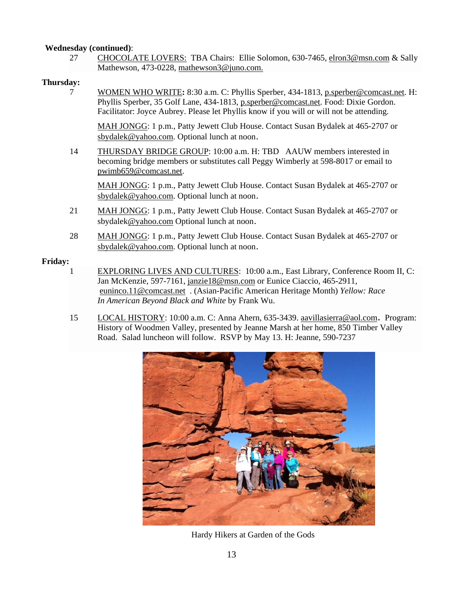## **Wednesday (continued)**:

27 CHOCOLATE LOVERS: TBA Chairs: Ellie Solomon, 630-7465, elron3@msn.com & Sally Mathewson, 473-0228, mathewson3@juno.com.

## **Thursday:**

7 WOMEN WHO WRITE**:** 8:30 a.m. C: Phyllis Sperber, 434-1813, p.sperber@comcast.net. H: Phyllis Sperber, 35 Golf Lane, 434-1813, p.sperber@comcast.net. Food: Dixie Gordon. Facilitator: Joyce Aubrey. Please let Phyllis know if you will or will not be attending.

MAH JONGG: 1 p.m., Patty Jewett Club House. Contact Susan Bydalek at 465-2707 or sbydalek@yahoo.com. Optional lunch at noon.

14 THURSDAY BRIDGE GROUP: 10:00 a.m. H: TBD AAUW members interested in becoming bridge members or substitutes call Peggy Wimberly at 598-8017 or email to pwimb659@comcast.net.

MAH JONGG: 1 p.m., Patty Jewett Club House. Contact Susan Bydalek at 465-2707 or sbydalek@yahoo.com. Optional lunch at noon.

- 21 MAH JONGG: 1 p.m., Patty Jewett Club House. Contact Susan Bydalek at 465-2707 or sbydalek@yahoo.com Optional lunch at noon.
- 28 MAH JONGG: 1 p.m., Patty Jewett Club House. Contact Susan Bydalek at 465-2707 or sbydalek@yahoo.com. Optional lunch at noon.

## **Friday:**

- 1 EXPLORING LIVES AND CULTURES: 10:00 a.m., East Library, Conference Room II, C: Jan McKenzie, 597-7161, janzie18@msn.com or Eunice Ciaccio, 465-2911, euninco.11@comcast.net . (Asian-Pacific American Heritage Month) *Yellow: Race In American Beyond Black and White* by Frank Wu.
- 15 LOCAL HISTORY: 10:00 a.m. C: Anna Ahern, 635-3439. aavillasierra@aol.com. Program: History of Woodmen Valley, presented by Jeanne Marsh at her home, 850 Timber Valley Road. Salad luncheon will follow. RSVP by May 13. H: Jeanne, 590-7237



Hardy Hikers at Garden of the Gods